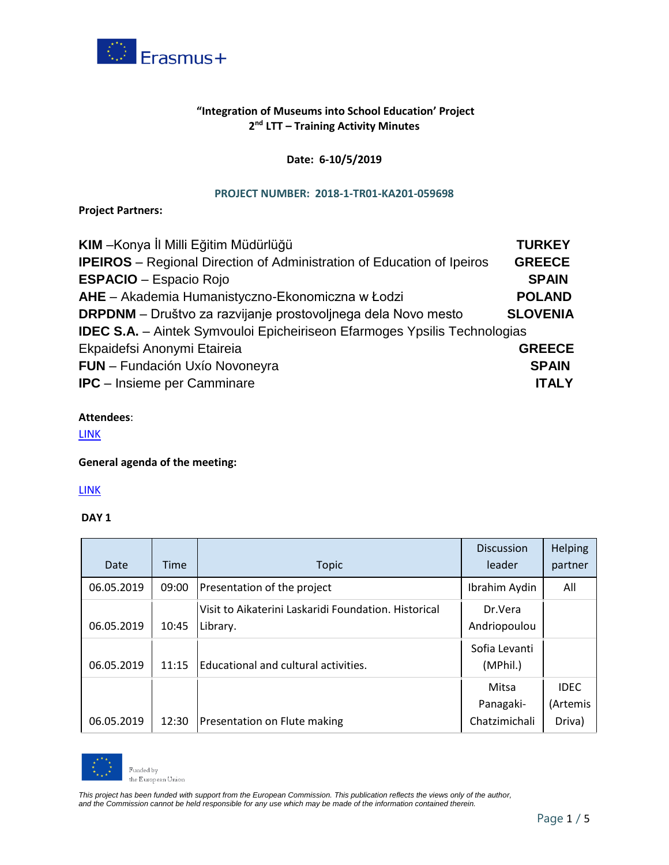

# **"Integration of Museums into School Education' Project 2 nd LTT – Training Activity Minutes**

## **Date: 6-10/5/2019**

#### **PROJECT NUMBER: 2018-1-TR01-KA201-059698**

**Project Partners:**

| KIM - Konya İl Milli Eğitim Müdürlüğü                                            | <b>TURKEY</b>   |
|----------------------------------------------------------------------------------|-----------------|
| <b>IPEIROS</b> – Regional Direction of Administration of Education of Ipeiros    | <b>GREECE</b>   |
| <b>ESPACIO - Espacio Rojo</b>                                                    | <b>SPAIN</b>    |
| AHE - Akademia Humanistyczno-Ekonomiczna w Łodzi                                 | <b>POLAND</b>   |
| <b>DRPDNM</b> – Društvo za razvijanje prostovoljnega dela Novo mesto             | <b>SLOVENIA</b> |
| <b>IDEC S.A.</b> - Aintek Symvouloi Epicheiriseon Efarmoges Ypsilis Technologias |                 |
| Ekpaidefsi Anonymi Etaireia                                                      | <b>GREECE</b>   |
| FUN - Fundación Uxío Novoneyra                                                   | <b>SPAIN</b>    |
| <b>IPC</b> - Insieme per Camminare                                               | <b>ITALY</b>    |

## **Attendees**:

[LINK](https://drive.google.com/file/d/1RciLK31e8IGeAE4Wj8BnmB_od-kusHPJ/view?usp=sharing)

## **General agenda of the meeting:**

[LINK](https://drive.google.com/file/d/1PtFrmVVJpddDJmrQZ2l7VLDBrjHYshNd/view?usp=sharing)

## **DAY 1**

| Date       | Time  |                                                      | <b>Discussion</b><br>leader | <b>Helping</b> |
|------------|-------|------------------------------------------------------|-----------------------------|----------------|
|            |       | <b>Topic</b>                                         |                             | partner        |
| 06.05.2019 | 09:00 | Presentation of the project                          | Ibrahim Aydin               | All            |
|            |       | Visit to Aikaterini Laskaridi Foundation. Historical | Dr.Vera                     |                |
| 06.05.2019 | 10:45 | Library.                                             | Andriopoulou                |                |
|            |       |                                                      | Sofia Levanti               |                |
| 06.05.2019 | 11:15 | Educational and cultural activities.                 | (MPhil.)                    |                |
|            |       |                                                      | Mitsa                       | <b>IDEC</b>    |
|            |       |                                                      | Panagaki-                   | (Artemis       |
| 06.05.2019 | 12:30 | Presentation on Flute making                         | Chatzimichali               | Driva)         |



Funded by the European Union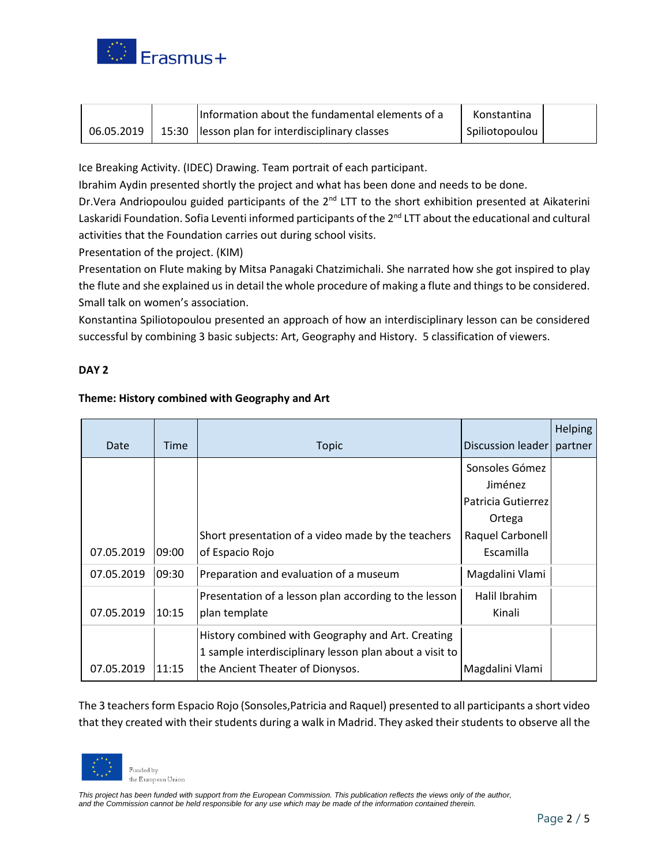

|            | Information about the fundamental elements of a | Konstantina    |  |
|------------|-------------------------------------------------|----------------|--|
| 06.05.2019 | 15:30 lesson plan for interdisciplinary classes | Spiliotopoulou |  |

Ice Breaking Activity. (IDEC) Drawing. Team portrait of each participant.

Ibrahim Aydin presented shortly the project and what has been done and needs to be done.

Dr.Vera Andriopoulou guided participants of the 2<sup>nd</sup> LTT to the short exhibition presented at Aikaterini Laskaridi Foundation. Sofia Leventi informed participants of the 2<sup>nd</sup> LTT about the educational and cultural activities that the Foundation carries out during school visits.

Presentation of the project. (KIM)

Presentation on Flute making by Mitsa Panagaki Chatzimichali. She narrated how she got inspired to play the flute and she explained us in detail the whole procedure of making a flute and things to be considered. Small talk on women's association.

Konstantina Spiliotopoulou presented an approach of how an interdisciplinary lesson can be considered successful by combining 3 basic subjects: Art, Geography and History. 5 classification of viewers.

#### **DAY 2**

#### **Theme: History combined with Geography and Art**

| Date       | Time  | <b>Topic</b>                                            | Discussion leader  | Helping<br>partner |
|------------|-------|---------------------------------------------------------|--------------------|--------------------|
|            |       |                                                         | Sonsoles Gómez     |                    |
|            |       |                                                         | Jiménez            |                    |
|            |       |                                                         | Patricia Gutierrez |                    |
|            |       |                                                         | Ortega             |                    |
|            |       | Short presentation of a video made by the teachers      | Raquel Carbonell   |                    |
| 07.05.2019 | 09:00 | of Espacio Rojo                                         | Escamilla          |                    |
| 07.05.2019 | 09:30 | Preparation and evaluation of a museum                  | Magdalini Vlami    |                    |
|            |       | Presentation of a lesson plan according to the lesson   | Halil Ibrahim      |                    |
| 07.05.2019 | 10:15 | plan template                                           | Kinali             |                    |
|            |       | History combined with Geography and Art. Creating       |                    |                    |
|            |       | 1 sample interdisciplinary lesson plan about a visit to |                    |                    |
| 07.05.2019 | 11:15 | the Ancient Theater of Dionysos.                        | Magdalini Vlami    |                    |

The 3 teachers form Espacio Rojo (Sonsoles,Patricia and Raquel) presented to all participants a short video that they created with their students during a walk in Madrid. They asked their students to observe all the

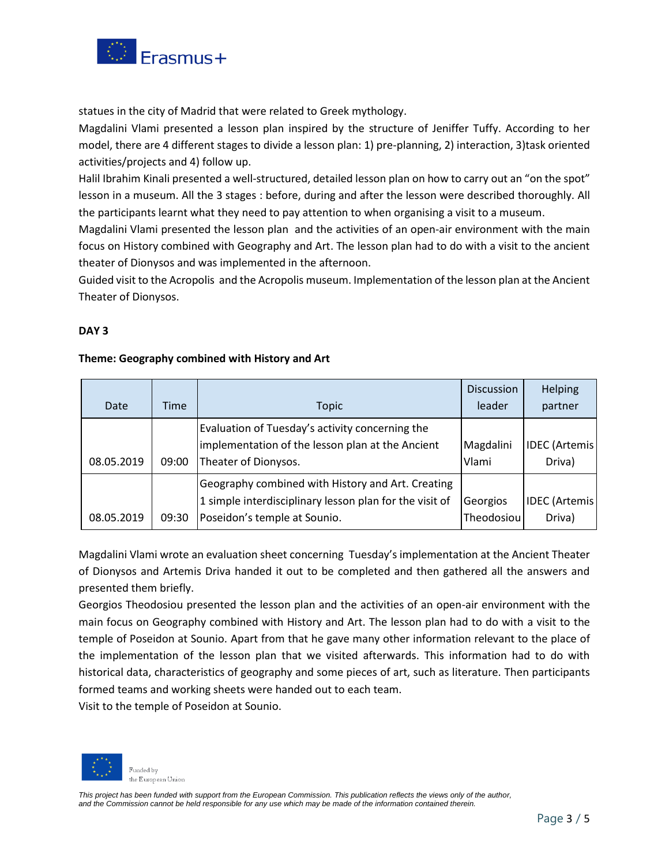

statues in the city of Madrid that were related to Greek mythology.

Magdalini Vlami presented a lesson plan inspired by the structure of Jeniffer Tuffy. According to her model, there are 4 different stages to divide a lesson plan: 1) pre-planning, 2) interaction, 3)task oriented activities/projects and 4) follow up.

Halil Ibrahim Kinali presented a well-structured, detailed lesson plan on how to carry out an "on the spot" lesson in a museum. All the 3 stages : before, during and after the lesson were described thoroughly. All the participants learnt what they need to pay attention to when organising a visit to a museum.

Magdalini Vlami presented the lesson plan and the activities of an open-air environment with the main focus on History combined with Geography and Art. The lesson plan had to do with a visit to the ancient theater of Dionysos and was implemented in the afternoon.

Guided visit to the Acropolis and the Acropolis museum. Implementation of the lesson plan at the Ancient Theater of Dionysos.

## **DAY 3**

## **Theme: Geography combined with History and Art**

|            |       |                                                         | <b>Discussion</b> | Helping               |
|------------|-------|---------------------------------------------------------|-------------------|-----------------------|
| Date       | Time  | Topic                                                   | leader            | partner               |
|            |       | Evaluation of Tuesday's activity concerning the         |                   |                       |
|            |       | implementation of the lesson plan at the Ancient        | Magdalini         | <b>IDEC</b> (Artemis) |
| 08.05.2019 | 09:00 | Theater of Dionysos.                                    | Vlami             | Driva)                |
|            |       | Geography combined with History and Art. Creating       |                   |                       |
|            |       | 1 simple interdisciplinary lesson plan for the visit of | Georgios          | <b>IDEC</b> (Artemis) |
| 08.05.2019 | 09:30 | Poseidon's temple at Sounio.                            | Theodosiou        | Driva)                |

Magdalini Vlami wrote an evaluation sheet concerning Tuesday's implementation at the Ancient Theater of Dionysos and Artemis Driva handed it out to be completed and then gathered all the answers and presented them briefly.

Georgios Theodosiou presented the lesson plan and the activities of an open-air environment with the main focus on Geography combined with History and Art. The lesson plan had to do with a visit to the temple of Poseidon at Sounio. Apart from that he gave many other information relevant to the place of the implementation of the lesson plan that we visited afterwards. This information had to do with historical data, characteristics of geography and some pieces of art, such as literature. Then participants formed teams and working sheets were handed out to each team.

Visit to the temple of Poseidon at Sounio.

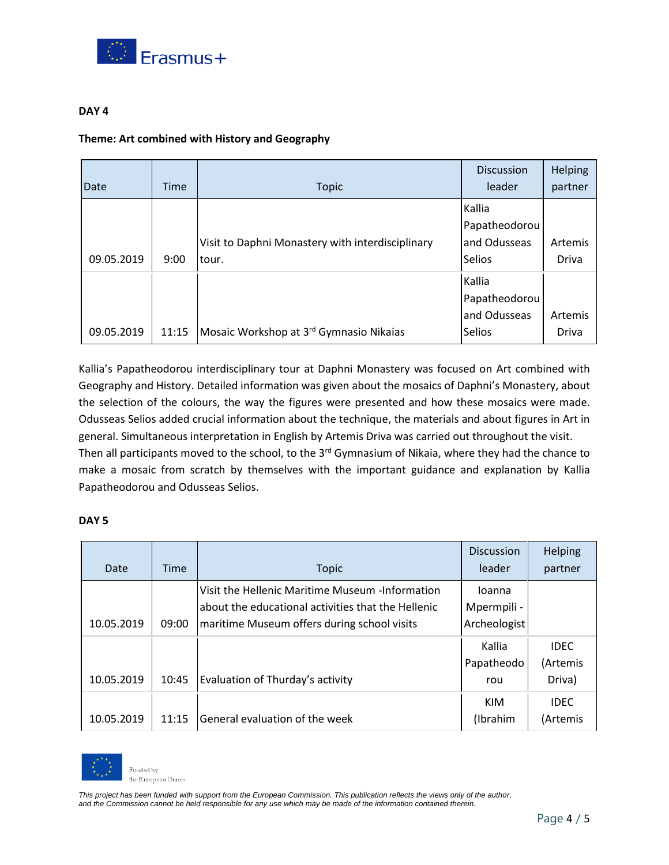

#### **DAY 4**

#### **Theme: Art combined with History and Geography**

|            |             |                                                     | <b>Discussion</b> | Helping      |
|------------|-------------|-----------------------------------------------------|-------------------|--------------|
| Date       | <b>Time</b> | <b>Topic</b>                                        | leader            | partner      |
|            |             |                                                     | Kallia            |              |
|            |             |                                                     | Papatheodorou     |              |
|            |             | Visit to Daphni Monastery with interdisciplinary    | and Odusseas      | Artemis      |
| 09.05.2019 | 9:00        | tour.                                               | Selios            | <b>Driva</b> |
|            |             |                                                     | Kallia            |              |
|            |             |                                                     | Papatheodorou     |              |
|            |             |                                                     | and Odusseas      | Artemis      |
| 09.05.2019 | 11:15       | Mosaic Workshop at 3 <sup>rd</sup> Gymnasio Nikaias | <b>Selios</b>     | <b>Driva</b> |

Kallia's Papatheodorou interdisciplinary tour at Daphni Monastery was focused on Art combined with Geography and History. Detailed information was given about the mosaics of Daphni's Monastery, about the selection of the colours, the way the figures were presented and how these mosaics were made. Odusseas Selios added crucial information about the technique, the materials and about figures in Art in general. Simultaneous interpretation in English by Artemis Driva was carried out throughout the visit. Then all participants moved to the school, to the 3<sup>rd</sup> Gymnasium of Nikaia, where they had the chance to make a mosaic from scratch by themselves with the important guidance and explanation by Kallia Papatheodorou and Odusseas Selios.

#### **DAY 5**

| Date       | Time  | <b>Topic</b>                                                                                                                                         | <b>Discussion</b><br>leader           | Helping<br>partner                |
|------------|-------|------------------------------------------------------------------------------------------------------------------------------------------------------|---------------------------------------|-----------------------------------|
| 10.05.2019 | 09:00 | Visit the Hellenic Maritime Museum -Information<br>about the educational activities that the Hellenic<br>maritime Museum offers during school visits | loanna<br>Mpermpili -<br>Archeologist |                                   |
| 10.05.2019 | 10:45 | Evaluation of Thurday's activity                                                                                                                     | Kallia<br>Papatheodo<br>rou           | <b>IDEC</b><br>(Artemis<br>Driva) |
| 10.05.2019 | 11:15 | General evaluation of the week                                                                                                                       | KIM<br>(Ibrahim                       | <b>IDEC</b><br>(Artemis           |



Funded by the European Union